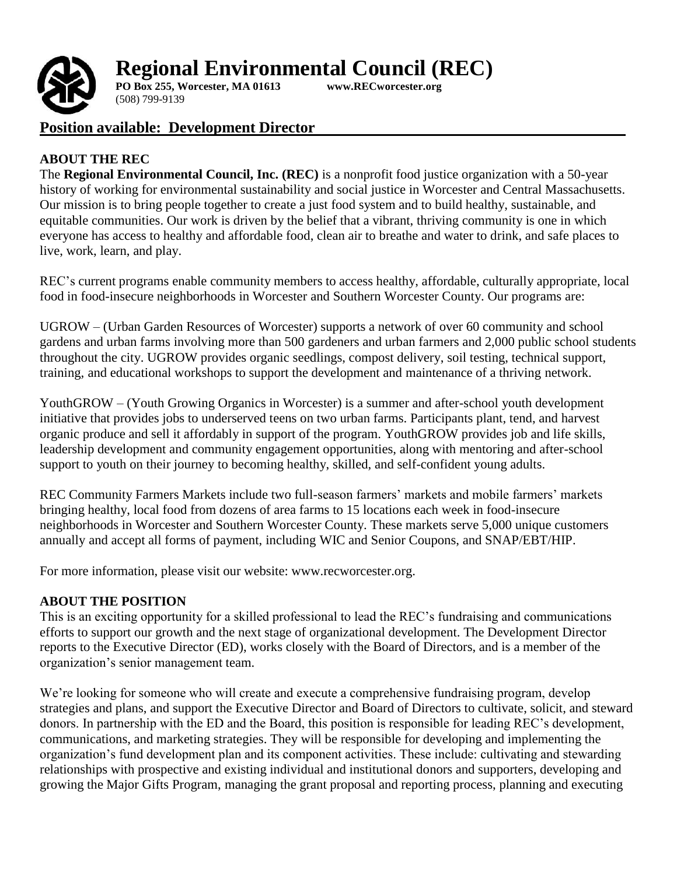



**PO Box 255, Worcester, MA 01613 [www.RECworcester.org](http://www.recworcester.org/)** (508) 799-9139

# **Position available: Development Director**

### **ABOUT THE REC**

The **Regional Environmental Council, Inc. (REC)** is a nonprofit food justice organization with a 50-year history of working for environmental sustainability and social justice in Worcester and Central Massachusetts. Our mission is to bring people together to create a just food system and to build healthy, sustainable, and equitable communities. Our work is driven by the belief that a vibrant, thriving community is one in which everyone has access to healthy and affordable food, clean air to breathe and water to drink, and safe places to live, work, learn, and play.

REC's current programs enable community members to access healthy, affordable, culturally appropriate, local food in food-insecure neighborhoods in Worcester and Southern Worcester County. Our programs are:

UGROW – (Urban Garden Resources of Worcester) supports a network of over 60 community and school gardens and urban farms involving more than 500 gardeners and urban farmers and 2,000 public school students throughout the city. UGROW provides organic seedlings, compost delivery, soil testing, technical support, training, and educational workshops to support the development and maintenance of a thriving network.

YouthGROW – (Youth Growing Organics in Worcester) is a summer and after-school youth development initiative that provides jobs to underserved teens on two urban farms. Participants plant, tend, and harvest organic produce and sell it affordably in support of the program. YouthGROW provides job and life skills, leadership development and community engagement opportunities, along with mentoring and after-school support to youth on their journey to becoming healthy, skilled, and self-confident young adults.

REC Community Farmers Markets include two full-season farmers' markets and mobile farmers' markets bringing healthy, local food from dozens of area farms to 15 locations each week in food-insecure neighborhoods in Worcester and Southern Worcester County. These markets serve 5,000 unique customers annually and accept all forms of payment, including WIC and Senior Coupons, and SNAP/EBT/HIP.

For more information, please visit our website: [www.recworcester.org.](http://www.recworcester.org/)

## **ABOUT THE POSITION**

This is an exciting opportunity for a skilled professional to lead the REC's fundraising and communications efforts to support our growth and the next stage of organizational development. The Development Director reports to the Executive Director (ED), works closely with the Board of Directors, and is a member of the organization's senior management team.

We're looking for someone who will create and execute a comprehensive fundraising program, develop strategies and plans, and support the Executive Director and Board of Directors to cultivate, solicit, and steward donors. In partnership with the ED and the Board, this position is responsible for leading REC's development, communications, and marketing strategies. They will be responsible for developing and implementing the organization's fund development plan and its component activities. These include: cultivating and stewarding relationships with prospective and existing individual and institutional donors and supporters, developing and growing the Major Gifts Program, managing the grant proposal and reporting process, planning and executing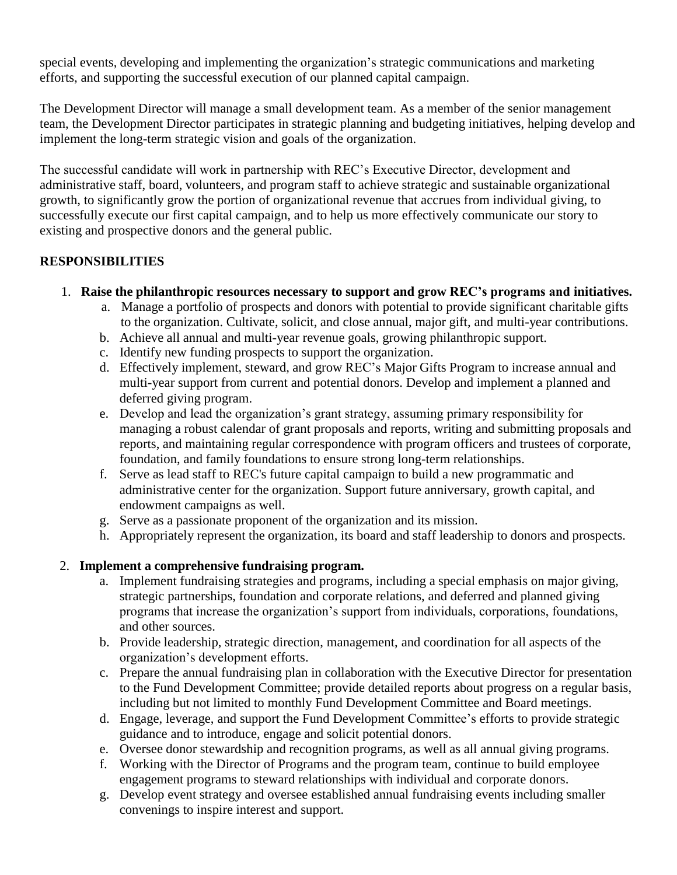special events, developing and implementing the organization's strategic communications and marketing efforts, and supporting the successful execution of our planned capital campaign.

The Development Director will manage a small development team. As a member of the senior management team, the Development Director participates in strategic planning and budgeting initiatives, helping develop and implement the long-term strategic vision and goals of the organization.

The successful candidate will work in partnership with REC's Executive Director, development and administrative staff, board, volunteers, and program staff to achieve strategic and sustainable organizational growth, to significantly grow the portion of organizational revenue that accrues from individual giving, to successfully execute our first capital campaign, and to help us more effectively communicate our story to existing and prospective donors and the general public.

## **RESPONSIBILITIES**

- 1. **Raise the philanthropic resources necessary to support and grow REC's programs and initiatives.**
	- a. Manage a portfolio of prospects and donors with potential to provide significant charitable gifts to the organization. Cultivate, solicit, and close annual, major gift, and multi-year contributions.
	- b. Achieve all annual and multi-year revenue goals, growing philanthropic support.
	- c. Identify new funding prospects to support the organization.
	- d. Effectively implement, steward, and grow REC's Major Gifts Program to increase annual and multi-year support from current and potential donors. Develop and implement a planned and deferred giving program.
	- e. Develop and lead the organization's grant strategy, assuming primary responsibility for managing a robust calendar of grant proposals and reports, writing and submitting proposals and reports, and maintaining regular correspondence with program officers and trustees of corporate, foundation, and family foundations to ensure strong long-term relationships.
	- f. Serve as lead staff to REC's future capital campaign to build a new programmatic and administrative center for the organization. Support future anniversary, growth capital, and endowment campaigns as well.
	- g. Serve as a passionate proponent of the organization and its mission.
	- h. Appropriately represent the organization, its board and staff leadership to donors and prospects.

#### 2. **Implement a comprehensive fundraising program.**

- a. Implement fundraising strategies and programs, including a special emphasis on major giving, strategic partnerships, foundation and corporate relations, and deferred and planned giving programs that increase the organization's support from individuals, corporations, foundations, and other sources.
- b. Provide leadership, strategic direction, management, and coordination for all aspects of the organization's development efforts.
- c. Prepare the annual fundraising plan in collaboration with the Executive Director for presentation to the Fund Development Committee; provide detailed reports about progress on a regular basis, including but not limited to monthly Fund Development Committee and Board meetings.
- d. Engage, leverage, and support the Fund Development Committee's efforts to provide strategic guidance and to introduce, engage and solicit potential donors.
- e. Oversee donor stewardship and recognition programs, as well as all annual giving programs.
- f. Working with the Director of Programs and the program team, continue to build employee engagement programs to steward relationships with individual and corporate donors.
- g. Develop event strategy and oversee established annual fundraising events including smaller convenings to inspire interest and support.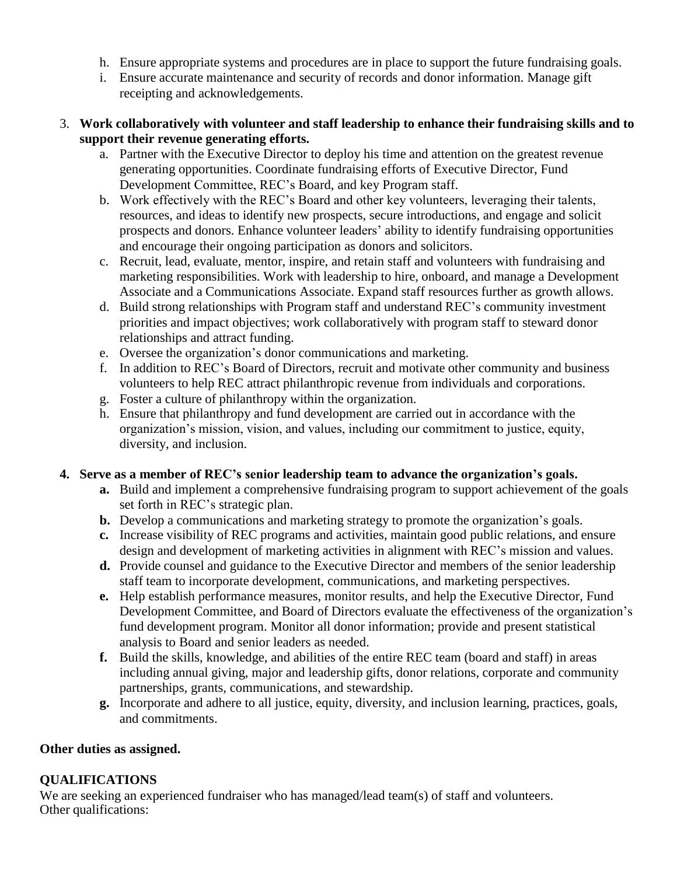- h. Ensure appropriate systems and procedures are in place to support the future fundraising goals.
- i. Ensure accurate maintenance and security of records and donor information. Manage gift receipting and acknowledgements.
- 3. **Work collaboratively with volunteer and staff leadership to enhance their fundraising skills and to support their revenue generating efforts.**
	- a. Partner with the Executive Director to deploy his time and attention on the greatest revenue generating opportunities. Coordinate fundraising efforts of Executive Director, Fund Development Committee, REC's Board, and key Program staff.
	- b. Work effectively with the REC's Board and other key volunteers, leveraging their talents, resources, and ideas to identify new prospects, secure introductions, and engage and solicit prospects and donors. Enhance volunteer leaders' ability to identify fundraising opportunities and encourage their ongoing participation as donors and solicitors.
	- c. Recruit, lead, evaluate, mentor, inspire, and retain staff and volunteers with fundraising and marketing responsibilities. Work with leadership to hire, onboard, and manage a Development Associate and a Communications Associate. Expand staff resources further as growth allows.
	- d. Build strong relationships with Program staff and understand REC's community investment priorities and impact objectives; work collaboratively with program staff to steward donor relationships and attract funding.
	- e. Oversee the organization's donor communications and marketing.
	- f. In addition to REC's Board of Directors, recruit and motivate other community and business volunteers to help REC attract philanthropic revenue from individuals and corporations.
	- g. Foster a culture of philanthropy within the organization.
	- h. Ensure that philanthropy and fund development are carried out in accordance with the organization's mission, vision, and values, including our commitment to justice, equity, diversity, and inclusion.

#### **4. Serve as a member of REC's senior leadership team to advance the organization's goals.**

- **a.** Build and implement a comprehensive fundraising program to support achievement of the goals set forth in REC's strategic plan.
- **b.** Develop a communications and marketing strategy to promote the organization's goals.
- **c.** Increase visibility of REC programs and activities, maintain good public relations, and ensure design and development of marketing activities in alignment with REC's mission and values.
- **d.** Provide counsel and guidance to the Executive Director and members of the senior leadership staff team to incorporate development, communications, and marketing perspectives.
- **e.** Help establish performance measures, monitor results, and help the Executive Director, Fund Development Committee, and Board of Directors evaluate the effectiveness of the organization's fund development program. Monitor all donor information; provide and present statistical analysis to Board and senior leaders as needed.
- **f.** Build the skills, knowledge, and abilities of the entire REC team (board and staff) in areas including annual giving, major and leadership gifts, donor relations, corporate and community partnerships, grants, communications, and stewardship.
- **g.** Incorporate and adhere to all justice, equity, diversity, and inclusion learning, practices, goals, and commitments.

#### **Other duties as assigned.**

## **QUALIFICATIONS**

We are seeking an experienced fundraiser who has managed/lead team(s) of staff and volunteers. Other qualifications: